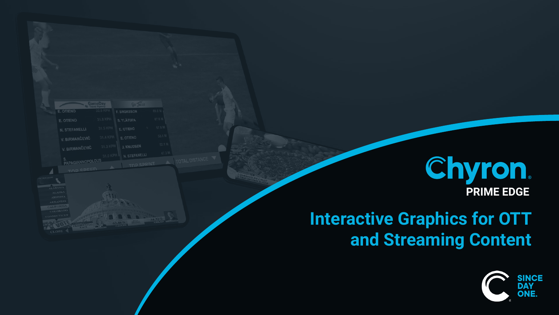# **Interactive Graphics for OTT and Streaming Content**

| <b>GameDay</b><br>Travel Agency |          | Go Tuice          |  |               |
|---------------------------------|----------|-------------------|--|---------------|
| E. OTIENO                       | 32.0 KPH | F. BRORSSON       |  | 69.6 M        |
| E. OTIENO                       | 31.8 KPH | S. YLÄTUPA        |  | <b>618 M</b>  |
| <b>N. STEFANELLI</b>            | 31.5 KPH | E. OTIENO         |  | <b>57.8 M</b> |
| V. BIRMANČEVIĆ                  | 31.4 KPH | <b>E. OTIENO</b>  |  | <b>BOLLER</b> |
| V. BIRMANČEVIĆ                  | 31.3 KPH | <b>J. KNUDSEN</b> |  | 52.11         |
|                                 | 31.0 KPH | N. STEFANELLI     |  | 4731          |
| S.<br>PAPAGIANNOPOLOUS          |          | TOP SPRINT        |  |               |



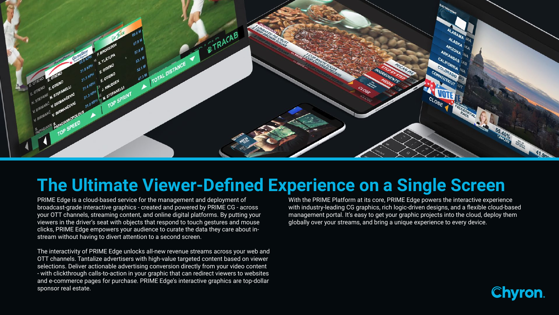PRIME Edge is a cloud-based service for the management and deployment of broadcast-grade interactive graphics - created and powered by PRIME CG - across your OTT channels, streaming content, and online digital platforms. By putting your viewers in the driver's seat with objects that respond to touch gestures and mouse clicks, PRIME Edge empowers your audience to curate the data they care about instream without having to divert attention to a second screen.

The interactivity of PRIME Edge unlocks all-new revenue streams across your web and OTT channels. Tantalize advertisers with high-value targeted content based on viewer selections. Deliver actionable advertising conversion directly from your video content - with clickthrough calls-to-action in your graphic that can redirect viewers to websites and e-commerce pages for purchase. PRIME Edge's interactive graphics are top-dollar sponsor real estate.

With the PRIME Platform at its core, PRIME Edge powers the interactive experience with industry-leading CG graphics, rich logic-driven designs, and a flexible cloud-based management portal. It's easy to get your graphic projects into the cloud, deploy them globally over your streams, and bring a unique experience to every device.

- 
- 
- 





# **The Ultimate Viewer-Defined Experience on a Single Screen**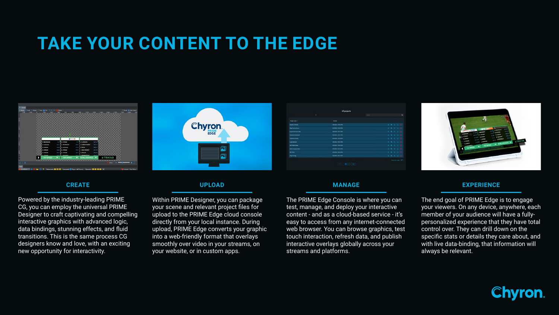### **CREATE**

Powered by the industry-leading PRIME CG, you can employ the universal PRIME Designer to craft captivating and compelling interactive graphics with advanced logic, data bindings, stunning effects, and fluid transitions. This is the same process CG designers know and love, with an exciting new opportunity for interactivity.

### **UPLOAD**

Within PRIME Designer, you can package your scene and relevant project files for upload to the PRIME Edge cloud console directly from your local instance. During upload, PRIME Edge converts your graphic into a web-friendly format that overlays smoothly over video in your streams, on your website, or in custom apps.

| All projects                 |                      |         |              |             |  |  |                     |
|------------------------------|----------------------|---------|--------------|-------------|--|--|---------------------|
| ъ                            |                      | Search. |              |             |  |  | $\alpha$            |
| Project name / 0             | Created              |         |              |             |  |  |                     |
| Dynamic Golf Ads             | 2/8/2022 1:59:41 PM  |         |              | 8 考 8 2 日   |  |  |                     |
| Edge Election Demo           | 3/2/2022 1:25:33 PM  |         |              | 8 考 8 日 日   |  |  |                     |
| Esports Interactive Ads      | 3/8/2022, 1:55:13 PM |         |              | 6 8 8 2 8   |  |  |                     |
| Interactive Resketball       | 2/8/2022, 1:53.14 PM |         |              | 8 5 5 3 F   |  |  |                     |
| Interactive Hockey           | 2/8/2022 1:53:53 PM  |         | $\mathbf{a}$ | (馬) 日 江 目   |  |  |                     |
| Local Elections              | 2/6/2022 1:58:13 PM  |         |              | 和湯 自 容 相    |  |  |                     |
| <b>MLB World Series</b>      | 2/8/2022 1:55:47 PM  |         |              | 日 馬 五 四 四 目 |  |  |                     |
| <b>Multi Language Select</b> | 2/6/2022 1:57:47 PM  |         |              | 6 馬 5 万 百   |  |  |                     |
| <b>NFL Trivia</b>            | 2/8/2022 1:56:46 PM  |         |              | 8 8 8 8 8   |  |  |                     |
| Player Victing               | 3/6/2022 1:56:15 PM  |         |              | ※ も n に 目   |  |  |                     |
|                              | $1 - 2 - 3$          |         |              |             |  |  | Rows per page: 10 * |



#### **MANAGE**

The PRIME Edge Console is where you can test, manage, and deploy your interactive content - and as a cloud-based service - it's easy to access from any internet-connected web browser. You can browse graphics, test touch interaction, refresh data, and publish interactive overlays globally across your streams and platforms.

### **EXPERIENCE**

The end goal of PRIME Edge is to engage your viewers. On any device, anywhere, each member of your audience will have a fullypersonalized experience that they have total control over. They can drill down on the specific stats or details they care about, and with live data-binding, that information will always be relevant.













# **TAKE YOUR CONTENT TO THE EDGE**



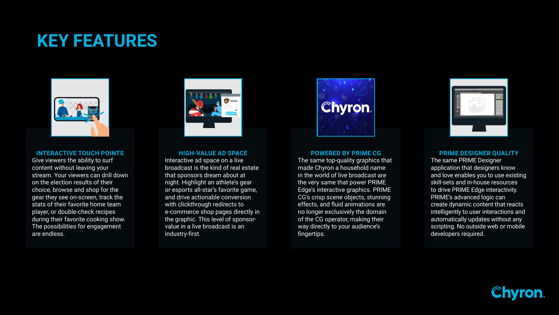#### **HIGH-VALUE AD SPACE**

Interactive ad space on a live broadcast is the kind of real estate that sponsors dream about at night. Highlight an athlete's gear or esports all-star's favorite game, and drive actionable conversion with clickthrough redirects to e-commerce shop pages directly in the graphic. This level of sponsorvalue in a live broadcast is an industry-first.



#### **POWERED BY PRIME CG**

The same top-quality graphics that made Chyron a household name in the world of live broadcast are the very same that power PRIME Edge's interactive graphics. PRIME CG's crisp scene objects, stunning effects, and fluid animations are no longer exclusively the domain of the CG operator, making their way directly to your audience's fingertips.



#### **INTERACTIVE TOUCH POINTS**

Give viewers the ability to surf content without leaving your stream. Your viewers can drill down on the election results of their choice, browse and shop for the gear they see on-screen, track the stats of their favorite home team player, or double-check recipes during their favorite cooking show. The possibilities for engagement are endless.



#### **PRIME DESIGNER QUALITY**

The same PRIME Designer application that designers know and love enables you to use existing skill-sets and in-house resources to drive PRIME Edge interactivity. PRIME's advanced logic can create dynamic content that reacts intelligently to user interactions and automatically updates without any scripting. No outside web or mobile developers required.







## **KEY FEATURES**

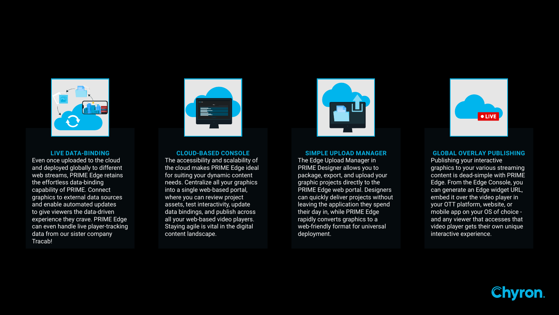#### **GLOBAL OVERLAY PUBLISHING**

Publishing your interactive graphics to your various streaming content is dead-simple with PRIME Edge. From the Edge Console, you can generate an Edge widget URL, embed it over the video player in your OTT platform, website, or mobile app on your OS of choice and any viewer that accesses that video player gets their own unique interactive experience.





#### **SIMPLE UPLOAD MANAGER**

The Edge Upload Manager in PRIME Designer allows you to package, export, and upload your graphic projects directly to the PRIME Edge web portal. Designers can quickly deliver projects without leaving the application they spend their day in, while PRIME Edge rapidly converts graphics to a web-friendly format for universal deployment.





#### **LIVE DATA-BINDING**

Even once uploaded to the cloud and deployed globally to different web streams, PRIME Edge retains the effortless data-binding capability of PRIME. Connect graphics to external data sources and enable automated updates to give viewers the data-driven experience they crave. PRIME Edge can even handle live player-tracking data from our sister company Tracab!



#### **CLOUD-BASED CONSOLE**

The accessibility and scalability of the cloud makes PRIME Edge ideal for suiting your dynamic content needs. Centralize all your graphics into a single web-based portal, where you can review project assets, test interactivity, update data bindings, and publish across all your web-based video players. Staying agile is vital in the digital content landscape.

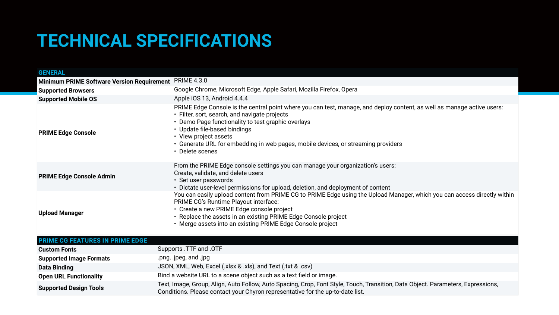| <b>GENERAL</b>                                    |                                                                                                                                                                                                                                      |  |  |  |  |
|---------------------------------------------------|--------------------------------------------------------------------------------------------------------------------------------------------------------------------------------------------------------------------------------------|--|--|--|--|
| <b>Minimum PRIME Software Version Requirement</b> | <b>PRIME 4.3.0</b>                                                                                                                                                                                                                   |  |  |  |  |
| <b>Supported Browsers</b>                         | Google Chrome, Microsoft Edge,                                                                                                                                                                                                       |  |  |  |  |
| <b>Supported Mobile OS</b>                        | Apple iOS 13, Android 4.4.4                                                                                                                                                                                                          |  |  |  |  |
| <b>PRIME Edge Console</b>                         | <b>PRIME Edge Console is the central</b><br>• Filter, sort, search, and navigate<br>• Demo Page functionality to test<br>• Update file-based bindings<br>• View project assets<br>• Generate URL for embedding in<br>• Delete scenes |  |  |  |  |
| <b>PRIME Edge Console Admin</b>                   | From the PRIME Edge console se<br>Create, validate, and delete users<br>• Set user passwords<br>• Dictate user-level permissions to                                                                                                  |  |  |  |  |
| <b>Upload Manager</b>                             | You can easily upload content fro<br><b>PRIME CG's Runtime Playout inte</b><br>• Create a new PRIME Edge cons<br>• Replace the assets in an existir<br>• Merge assets into an existing F                                             |  |  |  |  |
| <b>PRIME CG FEATURES IN PRIME EDGE</b>            |                                                                                                                                                                                                                                      |  |  |  |  |

# **TECHNICAL SPECIFICATIONS**

| <b>Custom Fonts</b>            | Supports .TTF and .OTF                                                                   |
|--------------------------------|------------------------------------------------------------------------------------------|
| <b>Supported Image Formats</b> | .png, .jpeg, and .jpg                                                                    |
| <b>Data Binding</b>            | JSON, XML, Web, Excel (.xlsx & .xls), ar                                                 |
| <b>Open URL Functionality</b>  | Bind a website URL to a scene object s                                                   |
| <b>Supported Design Tools</b>  | Text, Image, Group, Align, Auto Follow,<br><b>Conditions. Please contact your Chyron</b> |



Apple Safari, Mozilla Firefox, Opera

ral point where you can test, manage, and deploy content, as well as manage active users: e projects:

t graphic overlays

n web pages, mobile devices, or streaming providers

ettings you can manage your organization's users:

for upload, deletion, and deployment of content

om PRIME CG to PRIME Edge using the Upload Manager, which you can access directly within erface:

sole project

ng PRIME Edge Console project

PRIME Edge Console project

**Dand Text (.txt & .csv)** 

such as a text field or image.

Auto Spacing, Crop, Font Style, Touch, Transition, Data Object. Parameters, Expressions, In representative for the up-to-date list.